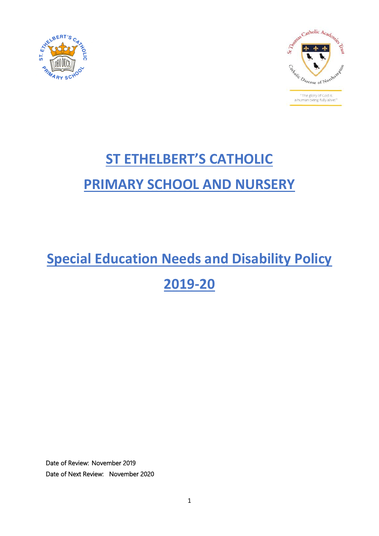



# **ST ETHELBERT'S CATHOLIC PRIMARY SCHOOL AND NURSERY**

## **Special Education Needs and Disability Policy**

**2019-20**

Date of Review: November 2019 Date of Next Review: November 2020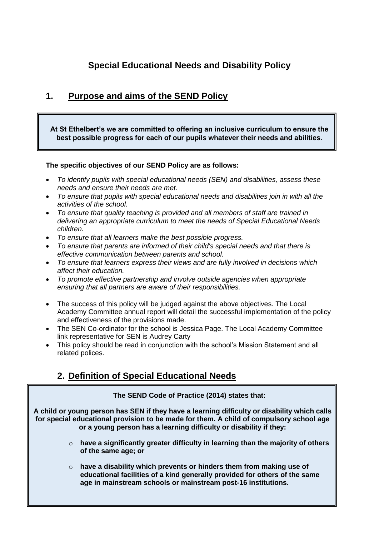## **Special Educational Needs and Disability Policy**

#### **1. Purpose and aims of the SEND Policy**

**At St Ethelbert's we are committed to offering an inclusive curriculum to ensure the best possible progress for each of our pupils whatever their needs and abilities**.

#### **The specific objectives of our SEND Policy are as follows:**

- *To identify pupils with special educational needs (SEN) and disabilities, assess these needs and ensure their needs are met.*
- *To ensure that pupils with special educational needs and disabilities join in with all the activities of the school.*
- *To ensure that quality teaching is provided and all members of staff are trained in delivering an appropriate curriculum to meet the needs of Special Educational Needs children.*
- *To ensure that all learners make the best possible progress.*
- *To ensure that parents are informed of their child's special needs and that there is effective communication between parents and school.*
- *To ensure that learners express their views and are fully involved in decisions which affect their education.*
- *To promote effective partnership and involve outside agencies when appropriate ensuring that all partners are aware of their responsibilities.*
- The success of this policy will be judged against the above objectives. The Local Academy Committee annual report will detail the successful implementation of the policy and effectiveness of the provisions made.
- The SEN Co-ordinator for the school is Jessica Page. The Local Academy Committee link representative for SEN is Audrey Carty
- This policy should be read in conjunction with the school's Mission Statement and all related polices.

#### **2. Definition of Special Educational Needs**

#### **The SEND Code of Practice (2014) states that:**

**A child or young person has SEN if they have a learning difficulty or disability which calls for special educational provision to be made for them. A child of compulsory school age or a young person has a learning difficulty or disability if they:**

- o **have a significantly greater difficulty in learning than the majority of others of the same age; or**
- o **have a disability which prevents or hinders them from making use of educational facilities of a kind generally provided for others of the same age in mainstream schools or mainstream post-16 institutions.**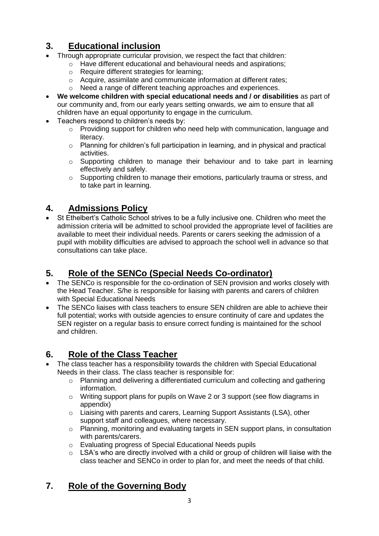## **3. Educational inclusion**

- Through appropriate curricular provision, we respect the fact that children:
	- o Have different educational and behavioural needs and aspirations;
		- o Require different strategies for learning;
		- o Acquire, assimilate and communicate information at different rates;
	- o Need a range of different teaching approaches and experiences.
- **We welcome children with special educational needs and / or disabilities** as part of our community and, from our early years setting onwards, we aim to ensure that all children have an equal opportunity to engage in the curriculum.
- Teachers respond to children's needs by:
	- o Providing support for children who need help with communication, language and literacy.
	- o Planning for children's full participation in learning, and in physical and practical activities.
	- o Supporting children to manage their behaviour and to take part in learning effectively and safely.
	- o Supporting children to manage their emotions, particularly trauma or stress, and to take part in learning.

## **4. Admissions Policy**

 St Ethelbert's Catholic School strives to be a fully inclusive one. Children who meet the admission criteria will be admitted to school provided the appropriate level of facilities are available to meet their individual needs. Parents or carers seeking the admission of a pupil with mobility difficulties are advised to approach the school well in advance so that consultations can take place.

## **5. Role of the SENCo (Special Needs Co-ordinator)**

- The SENCo is responsible for the co-ordination of SEN provision and works closely with the Head Teacher. S/he is responsible for liaising with parents and carers of children with Special Educational Needs
- The SENCo liaises with class teachers to ensure SEN children are able to achieve their full potential; works with outside agencies to ensure continuity of care and updates the SEN register on a regular basis to ensure correct funding is maintained for the school and children.

## **6. Role of the Class Teacher**

- The class teacher has a responsibility towards the children with Special Educational Needs in their class. The class teacher is responsible for:
	- $\circ$  Planning and delivering a differentiated curriculum and collecting and gathering information.
	- $\circ$  Writing support plans for pupils on Wave 2 or 3 support (see flow diagrams in appendix)
	- $\circ$  Liaising with parents and carers, Learning Support Assistants (LSA), other support staff and colleagues, where necessary.
	- $\circ$  Planning, monitoring and evaluating targets in SEN support plans, in consultation with parents/carers.
	- o Evaluating progress of Special Educational Needs pupils
	- $\circ$  LSA's who are directly involved with a child or group of children will liaise with the class teacher and SENCo in order to plan for, and meet the needs of that child.

## **7. Role of the Governing Body**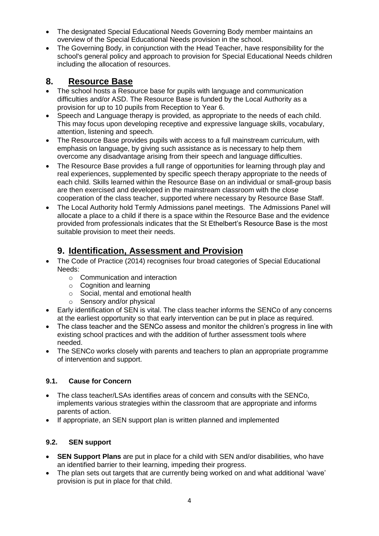- The designated Special Educational Needs Governing Body member maintains an overview of the Special Educational Needs provision in the school.
- The Governing Body, in conjunction with the Head Teacher, have responsibility for the school's general policy and approach to provision for Special Educational Needs children including the allocation of resources.

#### **8. Resource Base**

- The school hosts a Resource base for pupils with language and communication difficulties and/or ASD. The Resource Base is funded by the Local Authority as a provision for up to 10 pupils from Reception to Year 6.
- Speech and Language therapy is provided, as appropriate to the needs of each child. This may focus upon developing receptive and expressive language skills, vocabulary, attention, listening and speech.
- The Resource Base provides pupils with access to a full mainstream curriculum, with emphasis on language, by giving such assistance as is necessary to help them overcome any disadvantage arising from their speech and language difficulties.
- The Resource Base provides a full range of opportunities for learning through play and real experiences, supplemented by specific speech therapy appropriate to the needs of each child. Skills learned within the Resource Base on an individual or small-group basis are then exercised and developed in the mainstream classroom with the close cooperation of the class teacher, supported where necessary by Resource Base Staff.
- The Local Authority hold Termly Admissions panel meetings. The Admissions Panel will allocate a place to a child if there is a space within the Resource Base and the evidence provided from professionals indicates that the St Ethelbert's Resource Base is the most suitable provision to meet their needs.

## **9. Identification, Assessment and Provision**

- The Code of Practice (2014) recognises four broad categories of Special Educational Needs:
	- o Communication and interaction
	- o Cognition and learning
	- o Social, mental and emotional health
	- o Sensory and/or physical
- Early identification of SEN is vital. The class teacher informs the SENCo of any concerns at the earliest opportunity so that early intervention can be put in place as required.
- The class teacher and the SENCo assess and monitor the children's progress in line with existing school practices and with the addition of further assessment tools where needed.
- The SENCo works closely with parents and teachers to plan an appropriate programme of intervention and support.

#### **9.1. Cause for Concern**

- The class teacher/LSAs identifies areas of concern and consults with the SENCo, implements various strategies within the classroom that are appropriate and informs parents of action.
- If appropriate, an SEN support plan is written planned and implemented

#### **9.2. SEN support**

- **SEN Support Plans** are put in place for a child with SEN and/or disabilities, who have an identified barrier to their learning, impeding their progress.
- The plan sets out targets that are currently being worked on and what additional 'wave' provision is put in place for that child.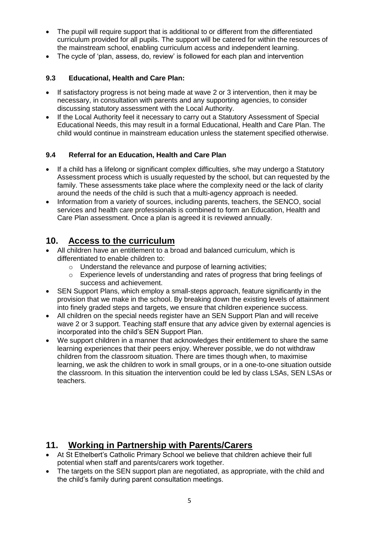- The pupil will require support that is additional to or different from the differentiated curriculum provided for all pupils. The support will be catered for within the resources of the mainstream school, enabling curriculum access and independent learning.
- The cycle of 'plan, assess, do, review' is followed for each plan and intervention

#### **9.3 Educational, Health and Care Plan:**

- If satisfactory progress is not being made at wave 2 or 3 intervention, then it may be necessary, in consultation with parents and any supporting agencies, to consider discussing statutory assessment with the Local Authority.
- If the Local Authority feel it necessary to carry out a Statutory Assessment of Special Educational Needs, this may result in a formal Educational, Health and Care Plan. The child would continue in mainstream education unless the statement specified otherwise.

#### **9.4 Referral for an Education, Health and Care Plan**

- If a child has a lifelong or significant complex difficulties, s/he may undergo a Statutory Assessment process which is usually requested by the school, but can requested by the family. These assessments take place where the complexity need or the lack of clarity around the needs of the child is such that a multi-agency approach is needed.
- Information from a variety of sources, including parents, teachers, the SENCO, social services and health care professionals is combined to form an Education, Health and Care Plan assessment. Once a plan is agreed it is reviewed annually.

#### **10. Access to the curriculum**

- All children have an entitlement to a broad and balanced curriculum, which is differentiated to enable children to:
	- o Understand the relevance and purpose of learning activities;
	- o Experience levels of understanding and rates of progress that bring feelings of success and achievement.
- SEN Support Plans, which employ a small-steps approach, feature significantly in the provision that we make in the school. By breaking down the existing levels of attainment into finely graded steps and targets, we ensure that children experience success.
- All children on the special needs register have an SEN Support Plan and will receive wave 2 or 3 support. Teaching staff ensure that any advice given by external agencies is incorporated into the child's SEN Support Plan.
- We support children in a manner that acknowledges their entitlement to share the same learning experiences that their peers enjoy. Wherever possible, we do not withdraw children from the classroom situation. There are times though when, to maximise learning, we ask the children to work in small groups, or in a one-to-one situation outside the classroom. In this situation the intervention could be led by class LSAs, SEN LSAs or teachers.

#### **11. Working in Partnership with Parents/Carers**

- At St Ethelbert's Catholic Primary School we believe that children achieve their full potential when staff and parents/carers work together.
- The targets on the SEN support plan are negotiated, as appropriate, with the child and the child's family during parent consultation meetings.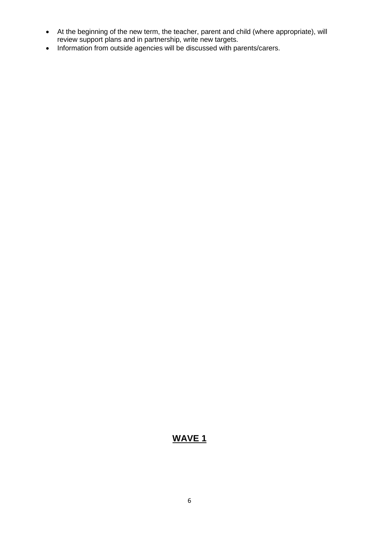- At the beginning of the new term, the teacher, parent and child (where appropriate), will review support plans and in partnership, write new targets.
- Information from outside agencies will be discussed with parents/carers.

#### **WAVE 1**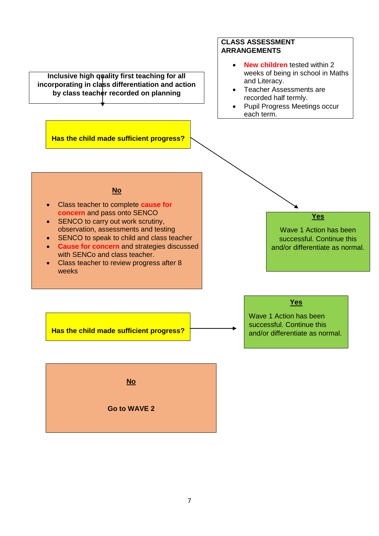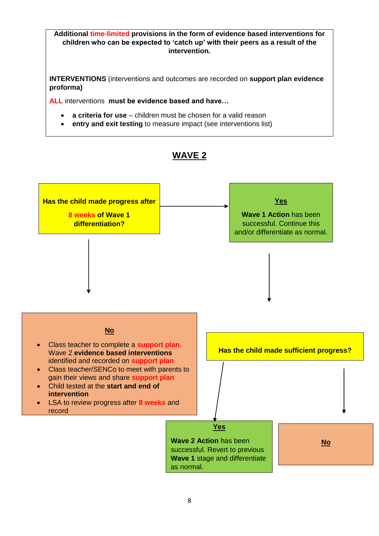**Additional time-limited provisions in the form of evidence based interventions for children who can be expected to 'catch up' with their peers as a result of the intervention.**

**INTERVENTIONS** (interventions and outcomes are recorded on **support plan evidence proforma)**

**ALL** interventions **must be evidence based and have…**

- **a criteria for use** children must be chosen for a valid reason
- **entry and exit testing** to measure impact (see interventions list)

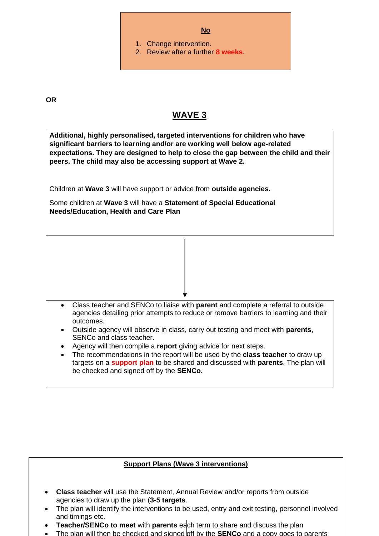

**OR**

#### **WAVE 3**

**Additional, highly personalised, targeted interventions for children who have significant barriers to learning and/or are working well below age-related expectations. They are designed to help to close the gap between the child and their peers. The child may also be accessing support at Wave 2.**

Children at **Wave 3** will have support or advice from **outside agencies.**

Some children at **Wave 3** will have a **Statement of Special Educational Needs/Education, Health and Care Plan**

- Class teacher and SENCo to liaise with **parent** and complete a referral to outside agencies detailing prior attempts to reduce or remove barriers to learning and their outcomes.
- Outside agency will observe in class, carry out testing and meet with **parents**, SENCo and class teacher.
- Agency will then compile a **report** giving advice for next steps.
- The recommendations in the report will be used by the **class teacher** to draw up targets on a **support plan** to be shared and discussed with **parents**. The plan will be checked and signed off by the **SENCo.**

#### **Support Plans (Wave 3 interventions)**

- 9 agencies to draw up the plan (**3-5 targets**. **Class teacher** will use the Statement, Annual Review and/or reports from outside
- The plan will identify the interventions to be used, entry and exit testing, personnel involved and timings etc.
- **Teacher/SENCo to meet** with **parents** each term to share and discuss the plan
- The plan will then be checked and signed off by the **SENCo** and a copy goes to parents